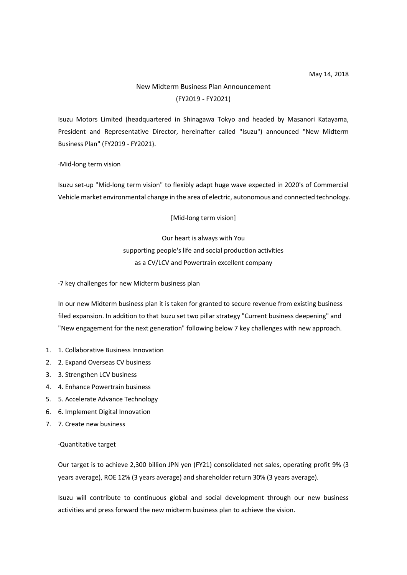## New Midterm Business Plan Announcement (FY2019 - FY2021)

Isuzu Motors Limited (headquartered in Shinagawa Tokyo and headed by Masanori Katayama, President and Representative Director, hereinafter called "Isuzu") announced "New Midterm Business Plan" (FY2019 - FY2021).

## ·Mid-long term vision

Isuzu set-up "Mid-long term vision" to flexibly adapt huge wave expected in 2020's of Commercial Vehicle market environmental change in the area of electric, autonomous and connected technology.

[Mid-long term vision]

Our heart is always with You supporting people's life and social production activities as a CV/LCV and Powertrain excellent company

·7 key challenges for new Midterm business plan

In our new Midterm business plan it is taken for granted to secure revenue from existing business filed expansion. In addition to that Isuzu set two pillar strategy "Current business deepening" and "New engagement for the next generation" following below 7 key challenges with new approach.

- 1. 1. Collaborative Business Innovation
- 2. 2. Expand Overseas CV business
- 3. 3. Strengthen LCV business
- 4. 4. Enhance Powertrain business
- 5. 5. Accelerate Advance Technology
- 6. 6. Implement Digital Innovation
- 7. 7. Create new business

## ·Quantitative target

Our target is to achieve 2,300 billion JPN yen (FY21) consolidated net sales, operating profit 9% (3 years average), ROE 12% (3 years average) and shareholder return 30% (3 years average).

Isuzu will contribute to continuous global and social development through our new business activities and press forward the new midterm business plan to achieve the vision.